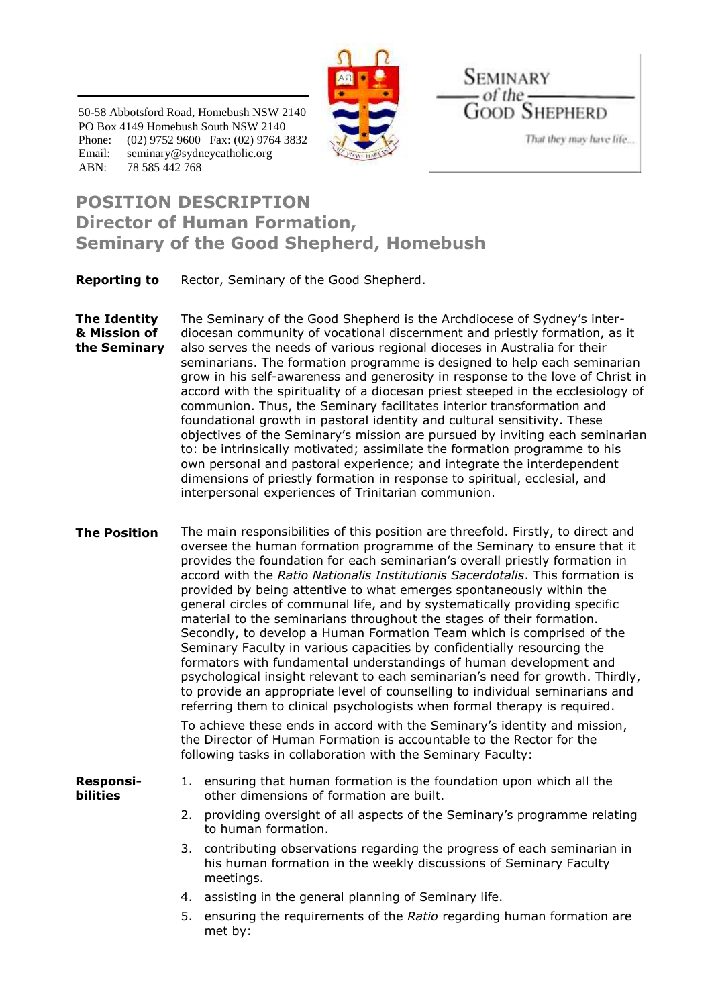

50-58 Abbotsford Road, Homebush NSW 2140 PO Box 4149 Homebush South NSW 2140 Phone: (02) 9752 9600 Fax: (02) 9764 3832 Email: seminary@sydneycatholic.org ABN: 78 585 442 768

SEMINARY  $of$  the  $-$ **GOOD SHEPHERD** 

That they may have life...

## **POSITION DESCRIPTION Director of Human Formation, Seminary of the Good Shepherd, Homebush**

**Reporting to** Rector, Seminary of the Good Shepherd.

**The Identity & Mission of the Seminary** The Seminary of the Good Shepherd is the Archdiocese of Sydney's interdiocesan community of vocational discernment and priestly formation, as it also serves the needs of various regional dioceses in Australia for their seminarians. The formation programme is designed to help each seminarian grow in his self-awareness and generosity in response to the love of Christ in accord with the spirituality of a diocesan priest steeped in the ecclesiology of communion. Thus, the Seminary facilitates interior transformation and foundational growth in pastoral identity and cultural sensitivity. These objectives of the Seminary's mission are pursued by inviting each seminarian to: be intrinsically motivated; assimilate the formation programme to his own personal and pastoral experience; and integrate the interdependent dimensions of priestly formation in response to spiritual, ecclesial, and interpersonal experiences of Trinitarian communion.

**The Position** The main responsibilities of this position are threefold. Firstly, to direct and oversee the human formation programme of the Seminary to ensure that it provides the foundation for each seminarian's overall priestly formation in accord with the *Ratio Nationalis Institutionis Sacerdotalis*. This formation is provided by being attentive to what emerges spontaneously within the general circles of communal life, and by systematically providing specific material to the seminarians throughout the stages of their formation. Secondly, to develop a Human Formation Team which is comprised of the Seminary Faculty in various capacities by confidentially resourcing the formators with fundamental understandings of human development and psychological insight relevant to each seminarian's need for growth. Thirdly, to provide an appropriate level of counselling to individual seminarians and referring them to clinical psychologists when formal therapy is required.

> To achieve these ends in accord with the Seminary's identity and mission, the Director of Human Formation is accountable to the Rector for the following tasks in collaboration with the Seminary Faculty:

**Responsibilities**

- 1. ensuring that human formation is the foundation upon which all the other dimensions of formation are built.
- 2. providing oversight of all aspects of the Seminary's programme relating to human formation.
- 3. contributing observations regarding the progress of each seminarian in his human formation in the weekly discussions of Seminary Faculty meetings.
- 4. assisting in the general planning of Seminary life.
- 5. ensuring the requirements of the *Ratio* regarding human formation are met by: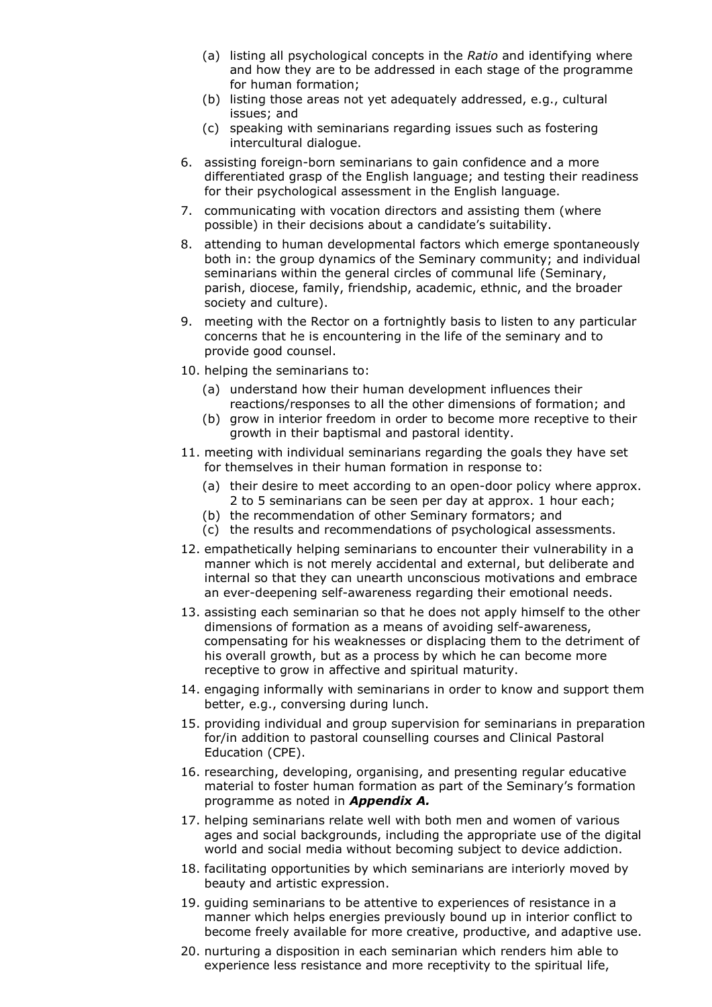- (a) listing all psychological concepts in the *Ratio* and identifying where and how they are to be addressed in each stage of the programme for human formation;
- (b) listing those areas not yet adequately addressed, e.g., cultural issues; and
- (c) speaking with seminarians regarding issues such as fostering intercultural dialogue.
- 6. assisting foreign-born seminarians to gain confidence and a more differentiated grasp of the English language; and testing their readiness for their psychological assessment in the English language.
- 7. communicating with vocation directors and assisting them (where possible) in their decisions about a candidate's suitability.
- 8. attending to human developmental factors which emerge spontaneously both in: the group dynamics of the Seminary community; and individual seminarians within the general circles of communal life (Seminary, parish, diocese, family, friendship, academic, ethnic, and the broader society and culture).
- 9. meeting with the Rector on a fortnightly basis to listen to any particular concerns that he is encountering in the life of the seminary and to provide good counsel.
- 10. helping the seminarians to:
	- (a) understand how their human development influences their reactions/responses to all the other dimensions of formation; and
	- (b) grow in interior freedom in order to become more receptive to their growth in their baptismal and pastoral identity.
- 11. meeting with individual seminarians regarding the goals they have set for themselves in their human formation in response to:
	- (a) their desire to meet according to an open-door policy where approx. 2 to 5 seminarians can be seen per day at approx. 1 hour each;
	- (b) the recommendation of other Seminary formators; and
	- (c) the results and recommendations of psychological assessments.
- 12. empathetically helping seminarians to encounter their vulnerability in a manner which is not merely accidental and external, but deliberate and internal so that they can unearth unconscious motivations and embrace an ever-deepening self-awareness regarding their emotional needs.
- 13. assisting each seminarian so that he does not apply himself to the other dimensions of formation as a means of avoiding self-awareness, compensating for his weaknesses or displacing them to the detriment of his overall growth, but as a process by which he can become more receptive to grow in affective and spiritual maturity.
- 14. engaging informally with seminarians in order to know and support them better, e.g., conversing during lunch.
- 15. providing individual and group supervision for seminarians in preparation for/in addition to pastoral counselling courses and Clinical Pastoral Education (CPE).
- 16. researching, developing, organising, and presenting regular educative material to foster human formation as part of the Seminary's formation programme as noted in *Appendix A.*
- 17. helping seminarians relate well with both men and women of various ages and social backgrounds, including the appropriate use of the digital world and social media without becoming subject to device addiction.
- 18. facilitating opportunities by which seminarians are interiorly moved by beauty and artistic expression.
- 19. guiding seminarians to be attentive to experiences of resistance in a manner which helps energies previously bound up in interior conflict to become freely available for more creative, productive, and adaptive use.
- 20. nurturing a disposition in each seminarian which renders him able to experience less resistance and more receptivity to the spiritual life,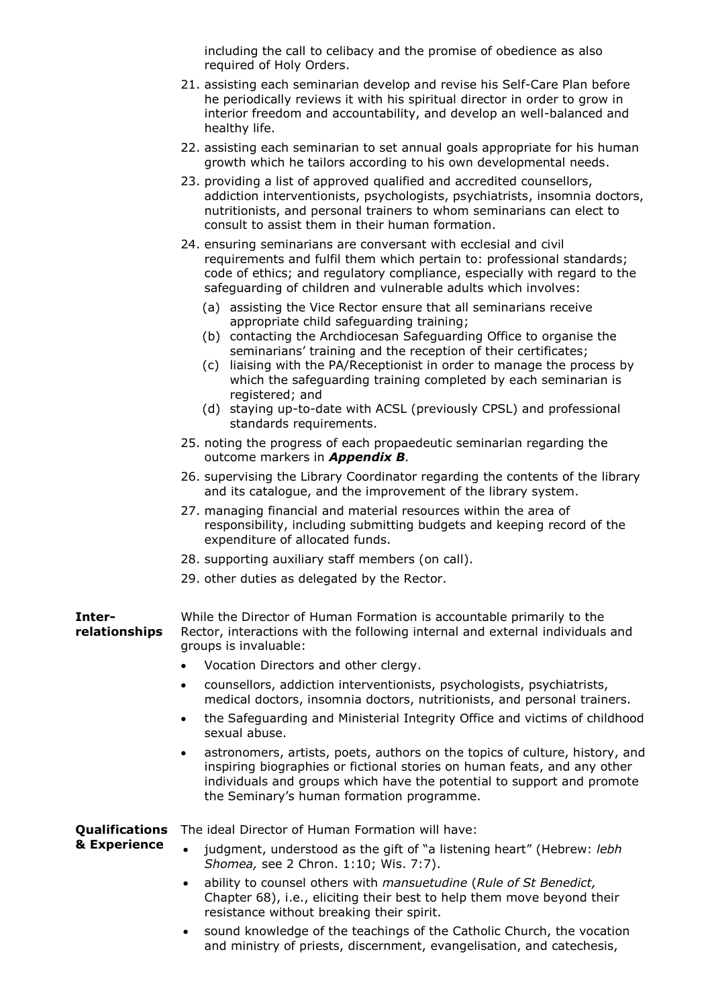including the call to celibacy and the promise of obedience as also required of Holy Orders.

- 21. assisting each seminarian develop and revise his Self-Care Plan before he periodically reviews it with his spiritual director in order to grow in interior freedom and accountability, and develop an well-balanced and healthy life.
- 22. assisting each seminarian to set annual goals appropriate for his human growth which he tailors according to his own developmental needs.
- 23. providing a list of approved qualified and accredited counsellors, addiction interventionists, psychologists, psychiatrists, insomnia doctors, nutritionists, and personal trainers to whom seminarians can elect to consult to assist them in their human formation.
- 24. ensuring seminarians are conversant with ecclesial and civil requirements and fulfil them which pertain to: professional standards; code of ethics; and regulatory compliance, especially with regard to the safeguarding of children and vulnerable adults which involves:
	- (a) assisting the Vice Rector ensure that all seminarians receive appropriate child safeguarding training;
	- (b) contacting the Archdiocesan Safeguarding Office to organise the seminarians' training and the reception of their certificates;
	- (c) liaising with the PA/Receptionist in order to manage the process by which the safeguarding training completed by each seminarian is registered; and
	- (d) staying up-to-date with ACSL (previously CPSL) and professional standards requirements.
- 25. noting the progress of each propaedeutic seminarian regarding the outcome markers in *Appendix B.*
- 26. supervising the Library Coordinator regarding the contents of the library and its catalogue, and the improvement of the library system.
- 27. managing financial and material resources within the area of responsibility, including submitting budgets and keeping record of the expenditure of allocated funds.
- 28. supporting auxiliary staff members (on call).
- 29. other duties as delegated by the Rector.

**Interrelationships** While the Director of Human Formation is accountable primarily to the Rector, interactions with the following internal and external individuals and groups is invaluable:

- Vocation Directors and other clergy.
- counsellors, addiction interventionists, psychologists, psychiatrists, medical doctors, insomnia doctors, nutritionists, and personal trainers.
- the Safeguarding and Ministerial Integrity Office and victims of childhood sexual abuse.
- astronomers, artists, poets, authors on the topics of culture, history, and inspiring biographies or fictional stories on human feats, and any other individuals and groups which have the potential to support and promote the Seminary's human formation programme.

**Qualifications**  The ideal Director of Human Formation will have:

**& Experience**

- judgment, understood as the gift of "a listening heart" (Hebrew: *lebh Shomea,* see 2 Chron. 1:10; Wis. 7:7).
- ability to counsel others with *mansuetudine* (*Rule of St Benedict,*  Chapter 68), i.e., eliciting their best to help them move beyond their resistance without breaking their spirit.
- sound knowledge of the teachings of the Catholic Church, the vocation and ministry of priests, discernment, evangelisation, and catechesis,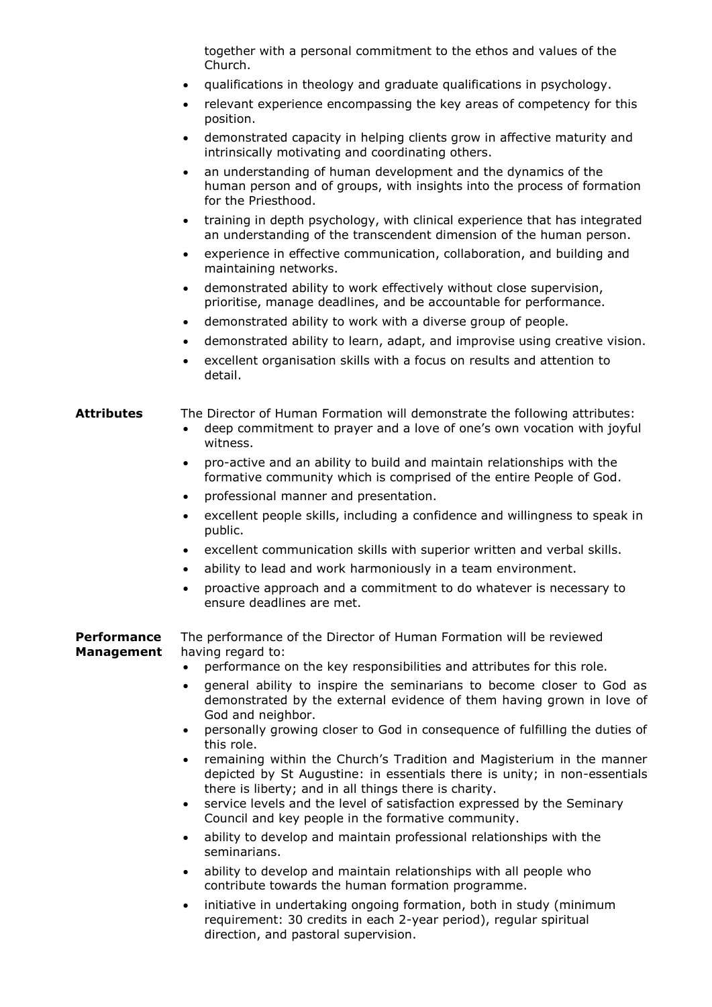together with a personal commitment to the ethos and values of the Church.

- qualifications in theology and graduate qualifications in psychology.
- relevant experience encompassing the key areas of competency for this position.
- demonstrated capacity in helping clients grow in affective maturity and intrinsically motivating and coordinating others.
- an understanding of human development and the dynamics of the human person and of groups, with insights into the process of formation for the Priesthood.
- training in depth psychology, with clinical experience that has integrated an understanding of the transcendent dimension of the human person.
- experience in effective communication, collaboration, and building and maintaining networks.
- demonstrated ability to work effectively without close supervision, prioritise, manage deadlines, and be accountable for performance.
- demonstrated ability to work with a diverse group of people.
- demonstrated ability to learn, adapt, and improvise using creative vision.
- excellent organisation skills with a focus on results and attention to detail.

## **Attributes** The Director of Human Formation will demonstrate the following attributes:

- deep commitment to prayer and a love of one's own vocation with joyful witness.
- pro-active and an ability to build and maintain relationships with the formative community which is comprised of the entire People of God.
- professional manner and presentation.
- excellent people skills, including a confidence and willingness to speak in public.
- excellent communication skills with superior written and verbal skills.
- ability to lead and work harmoniously in a team environment.
- proactive approach and a commitment to do whatever is necessary to ensure deadlines are met.

**Performance Management** The performance of the Director of Human Formation will be reviewed having regard to:

- performance on the key responsibilities and attributes for this role.
- general ability to inspire the seminarians to become closer to God as demonstrated by the external evidence of them having grown in love of God and neighbor.
- personally growing closer to God in consequence of fulfilling the duties of this role.
- remaining within the Church's Tradition and Magisterium in the manner depicted by St Augustine: in essentials there is unity; in non-essentials there is liberty; and in all things there is charity.
- service levels and the level of satisfaction expressed by the Seminary Council and key people in the formative community.
- ability to develop and maintain professional relationships with the seminarians.
- ability to develop and maintain relationships with all people who contribute towards the human formation programme.
- initiative in undertaking ongoing formation, both in study (minimum requirement: 30 credits in each 2-year period), regular spiritual direction, and pastoral supervision.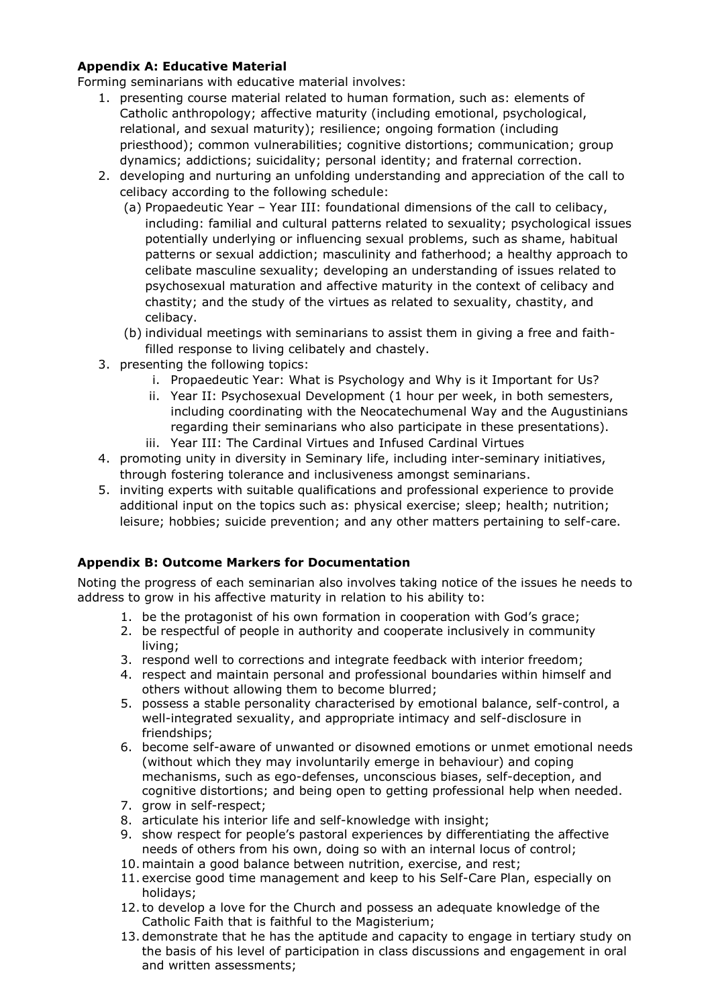## **Appendix A: Educative Material**

Forming seminarians with educative material involves:

- 1. presenting course material related to human formation, such as: elements of Catholic anthropology; affective maturity (including emotional, psychological, relational, and sexual maturity); resilience; ongoing formation (including priesthood); common vulnerabilities; cognitive distortions; communication; group dynamics; addictions; suicidality; personal identity; and fraternal correction.
- 2. developing and nurturing an unfolding understanding and appreciation of the call to celibacy according to the following schedule:
	- (a) Propaedeutic Year Year III: foundational dimensions of the call to celibacy, including: familial and cultural patterns related to sexuality; psychological issues potentially underlying or influencing sexual problems, such as shame, habitual patterns or sexual addiction; masculinity and fatherhood; a healthy approach to celibate masculine sexuality; developing an understanding of issues related to psychosexual maturation and affective maturity in the context of celibacy and chastity; and the study of the virtues as related to sexuality, chastity, and celibacy.
	- (b) individual meetings with seminarians to assist them in giving a free and faithfilled response to living celibately and chastely.
- 3. presenting the following topics:
	- i. Propaedeutic Year: What is Psychology and Why is it Important for Us?
	- ii. Year II: Psychosexual Development (1 hour per week, in both semesters, including coordinating with the Neocatechumenal Way and the Augustinians regarding their seminarians who also participate in these presentations).
	- iii. Year III: The Cardinal Virtues and Infused Cardinal Virtues
- 4. promoting unity in diversity in Seminary life, including inter-seminary initiatives, through fostering tolerance and inclusiveness amongst seminarians.
- 5. inviting experts with suitable qualifications and professional experience to provide additional input on the topics such as: physical exercise; sleep; health; nutrition; leisure; hobbies; suicide prevention; and any other matters pertaining to self-care.

## **Appendix B: Outcome Markers for Documentation**

Noting the progress of each seminarian also involves taking notice of the issues he needs to address to grow in his affective maturity in relation to his ability to:

- 1. be the protagonist of his own formation in cooperation with God's grace;
- 2. be respectful of people in authority and cooperate inclusively in community living;
- 3. respond well to corrections and integrate feedback with interior freedom;
- 4. respect and maintain personal and professional boundaries within himself and others without allowing them to become blurred;
- 5. possess a stable personality characterised by emotional balance, self-control, a well-integrated sexuality, and appropriate intimacy and self-disclosure in friendships;
- 6. become self-aware of unwanted or disowned emotions or unmet emotional needs (without which they may involuntarily emerge in behaviour) and coping mechanisms, such as ego-defenses, unconscious biases, self-deception, and cognitive distortions; and being open to getting professional help when needed.
- 7. grow in self-respect;
- 8. articulate his interior life and self-knowledge with insight;
- 9. show respect for people's pastoral experiences by differentiating the affective needs of others from his own, doing so with an internal locus of control;
- 10. maintain a good balance between nutrition, exercise, and rest;
- 11. exercise good time management and keep to his Self-Care Plan, especially on holidays;
- 12.to develop a love for the Church and possess an adequate knowledge of the Catholic Faith that is faithful to the Magisterium;
- 13. demonstrate that he has the aptitude and capacity to engage in tertiary study on the basis of his level of participation in class discussions and engagement in oral and written assessments;